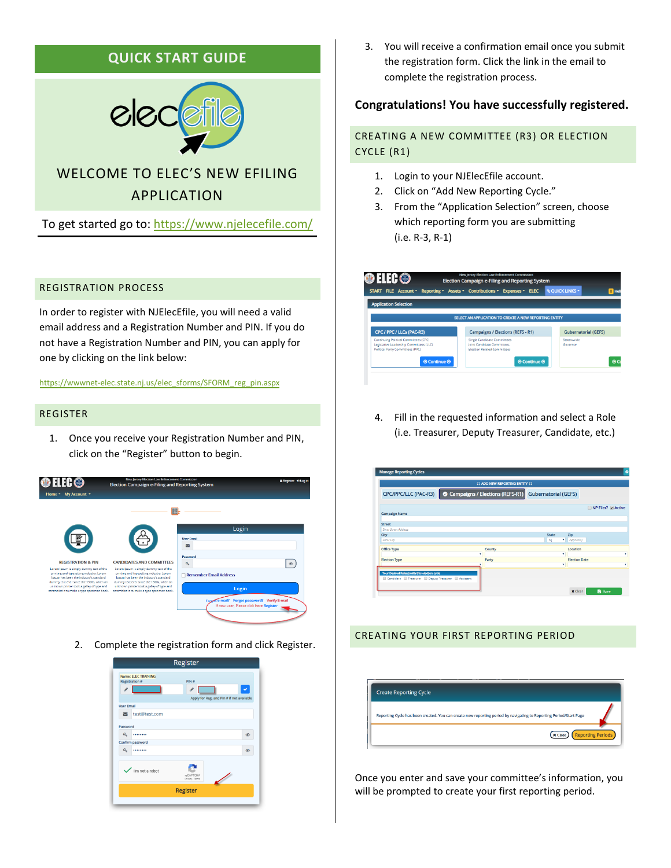## **QUICK START GUIDE**



# WELCOME TO ELEC'S NEW EFILING APPLICATION

To get started go to:<https://www.njelecefile.com/>

## REGISTRATION PROCESS

In order to register with NJElecEfile, you will need a valid email address and a Registration Number and PIN. If you do not have a Registration Number and PIN, you can apply for one by clicking on the link below:

https://wwwnet-elec.state.nj.us/elec\_sforms/SFORM\_reg\_pin.aspx

#### REGISTER

1. Once you receive your Registration Number and PIN, click on the "Register" button to begin.



2. Complete the registration form and click Register.



3. You will receive a confirmation email once you submit the registration form. Click the link in the email to complete the registration process.

## **Congratulations! You have successfully registered.**

## CREATING A NEW COMMITTEE (R3) OR ELECTION CYCLE (R1)

- 1. Login to your NJElecEfile account.
- 2. Click on "Add New Reporting Cycle."
- 3. From the "Application Selection" screen, choose which reporting form you are submitting (i.e. R-3, R-1)

|                                                                                                                             | START FILE Account * Reporting * Assets * Contributions * Expenses * ELEC                              | <b>QUICK LINKS -</b><br>$0$ Hel |
|-----------------------------------------------------------------------------------------------------------------------------|--------------------------------------------------------------------------------------------------------|---------------------------------|
| <b>Application Selection</b>                                                                                                |                                                                                                        |                                 |
|                                                                                                                             |                                                                                                        |                                 |
|                                                                                                                             | SELECT AN APPLICATION TO CREATE A NEW REPORTING ENTITY                                                 |                                 |
| CPC / PPC / LLCs (PAC-R3)                                                                                                   | <b>Campaigns / Elections (REFS - R1)</b>                                                               | <b>Gubernatorial (GEFS)</b>     |
| <b>Continuing Political Committees (CPC)</b><br>Legislative Leadership Committees (LLC)<br>Political Party Committees (PPC) | Single Candidate Committees<br><b>Joint Candidate Committees</b><br><b>Election Related Committees</b> | Statewwide<br>Governor          |
|                                                                                                                             |                                                                                                        | $\Theta$ Continue $\Theta$      |

4. Fill in the requested information and select a Role (i.e. Treasurer, Deputy Treasurer, Candidate, etc.)

| <b>ADD NEW REPORTING ENTITY AT</b>                                                                    |   |                                 |  |                             |                      |                  |
|-------------------------------------------------------------------------------------------------------|---|---------------------------------|--|-----------------------------|----------------------|------------------|
| CPC/PPC/LLC (PAC-R3)                                                                                  |   | Campaigns / Elections (REFS-R1) |  | <b>Gubernatorial (GEFS)</b> |                      |                  |
| Campaign Name                                                                                         |   |                                 |  |                             |                      | NP Filer? Active |
| <b>Street</b>                                                                                         |   |                                 |  |                             |                      |                  |
| Froer Street Address<br>City                                                                          |   |                                 |  | <b>State</b>                | Zip                  |                  |
| <b>Enter City</b>                                                                                     |   |                                 |  | NJ                          | 720(99999)           |                  |
| Office Type                                                                                           |   | County                          |  |                             | Location             |                  |
| <b>Election Type</b>                                                                                  | ٠ | Party                           |  | ٠                           | <b>Election Date</b> |                  |
|                                                                                                       |   |                                 |  | ٠                           |                      |                  |
| Your Desired Role(s) with this election cycle<br>Candidate   Treasurer   Deputy Treasurer   Assistant |   |                                 |  |                             |                      |                  |
|                                                                                                       |   |                                 |  |                             |                      |                  |

## CREATING YOUR FIRST REPORTING PERIOD



Once you enter and save your committee's information, you will be prompted to create your first reporting period.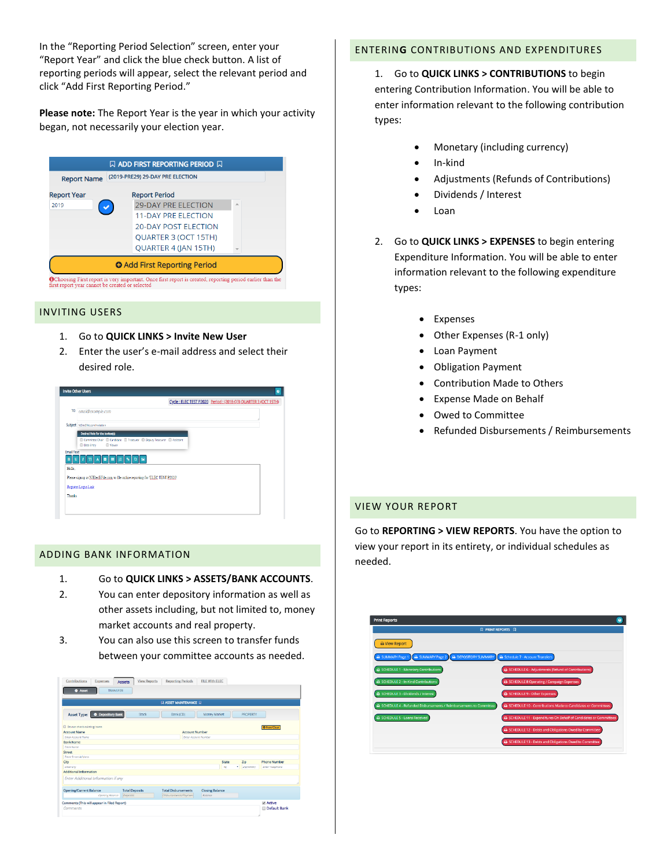In the "Reporting Period Selection" screen, enter your "Report Year" and click the blue check button. A list of reporting periods will appear, select the relevant period and click "Add First Reporting Period."

**Please note:** The Report Year is the year in which your activity began, not necessarily your election year.

| <b>Report Name</b> | (2019-PRE29) 29-DAY PRE ELECTION    |   |
|--------------------|-------------------------------------|---|
| <b>Report Year</b> | <b>Report Period</b>                |   |
| 2019               | <b>29-DAY PRE ELECTION</b>          | ▵ |
|                    | <b>11-DAY PRE ELECTION</b>          |   |
|                    | <b>20-DAY POST ELECTION</b>         |   |
|                    | QUARTER 3 (OCT 15TH)                |   |
|                    | QUARTER 4 (JAN 15TH)                |   |
|                    | <b>O</b> Add First Reporting Period |   |

#### INVITING USERS

- 1. Go to **QUICK LINKS > Invite New User**
- 2. Enter the user's e-mail address and select their desired role.



## ADDING BANK INFORMATION

- 1. Go to **QUICK LINKS > ASSETS/BANK ACCOUNTS**.
- 2. You can enter depository information as well as other assets including, but not limited to, money market accounts and real property.
- 3. You can also use this screen to transfer funds between your committee accounts as needed.

| Expenses<br><b>Assets</b><br><b>O</b> Asset<br><b>TRANSFER</b> | <b>View Reports</b>   | <b>Reporting Periods</b>     |                        |                    |                     |
|----------------------------------------------------------------|-----------------------|------------------------------|------------------------|--------------------|---------------------|
|                                                                |                       | <b>Q ASSET MAINTENANCE Q</b> |                        |                    |                     |
| <b>O</b> Depository Bank<br>Asset Type:                        | Stock                 | Bank (CD)                    | Money Market           | <b>PROPERTY</b>    |                     |
| <b>III</b> De not check existing items                         |                       |                              |                        |                    | O New/Clear         |
| <b>Account Name</b>                                            |                       | <b>Account Number</b>        |                        |                    |                     |
| <b>Freez Arragat Name</b>                                      |                       | Firter Arrower Nomber        |                        |                    |                     |
| <b>Bank Name</b>                                               |                       |                              |                        |                    |                     |
| <b>Printer Marine</b>                                          |                       |                              |                        |                    |                     |
| <b>Street</b>                                                  |                       |                              |                        |                    |                     |
| <b>Freer Street Address</b>                                    |                       |                              |                        |                    |                     |
| City                                                           |                       |                              | State                  | Zip                | <b>Phone Number</b> |
| Enter City                                                     |                       |                              | NI                     | $\bullet$ 20099999 | Enter Telephane     |
| <b>Additional Information</b>                                  |                       |                              |                        |                    |                     |
| Enter Additional Information if any                            |                       |                              |                        |                    |                     |
| <b>Opening/Current Balance</b>                                 | <b>Total Deposits</b> | <b>Total Disbursements</b>   | <b>Closing Balance</b> |                    |                     |
| Opening Balance                                                | Depostes              | Disbursements/Payment        | Balance                |                    |                     |
| Comments (This will appear in Filed Report)                    |                       |                              |                        |                    | Active              |
| Comments                                                       |                       |                              |                        |                    | Default Bank        |

#### ENTERIN**G** CONTRIBUTIONS AND EXPENDITURES

1. Go to **QUICK LINKS > CONTRIBUTIONS** to begin entering Contribution Information. You will be able to enter information relevant to the following contribution types:

- Monetary (including currency)
- In-kind
- Adjustments (Refunds of Contributions)
- Dividends / Interest
- Loan
- 2. Go to **QUICK LINKS > EXPENSES** to begin entering Expenditure Information. You will be able to enter information relevant to the following expenditure types:
	- Expenses
	- Other Expenses (R-1 only)
	- Loan Payment
	- Obligation Payment
	- Contribution Made to Others
	- Expense Made on Behalf
	- Owed to Committee
	- Refunded Disbursements / Reimbursements

#### VIEW YOUR REPORT

Go to **REPORTING > VIEW REPORTS**. You have the option to view your report in its entirety, or individual schedules as needed.

|                                                                   | <b>Q PRINT REPORTS Q</b>                                           |
|-------------------------------------------------------------------|--------------------------------------------------------------------|
| New Report                                                        |                                                                    |
| SUMMARY Page 1   B SUMMARY Page 2   B DEPOSITORY SUMMARY          | A Schedule 7 - Account Transfers                                   |
| SCHEDULE 1 - Monetary Contributions                               | SCHEDULE 6 - Adjustments (Refund of Contributions)                 |
| SCHEDULE 2 - In-Kind Contributions                                | A SCHEDULE 8 Operating / Campaign Expenses                         |
| <b>SCHEDULE 3 - Dividends / Interest</b>                          | <b>SCHEDULE 9 - Other Expenses</b>                                 |
| SCHEDULE 4 - Refunded Disbursements / Reimbursements to Committee | A SCHEDULE 10 - Contributions Made to Candidates or Committees     |
| A SCHEDULE 5 - Loans Received                                     | A SCHEDULE 11 - Expenditures On Behalf of Candidates or Committees |
|                                                                   | A SCHEDULE 12 - Debts and Obligations Owed by Committee            |
|                                                                   | A SCHEDULE 13 - Debts and Obligations Owed to Committee            |